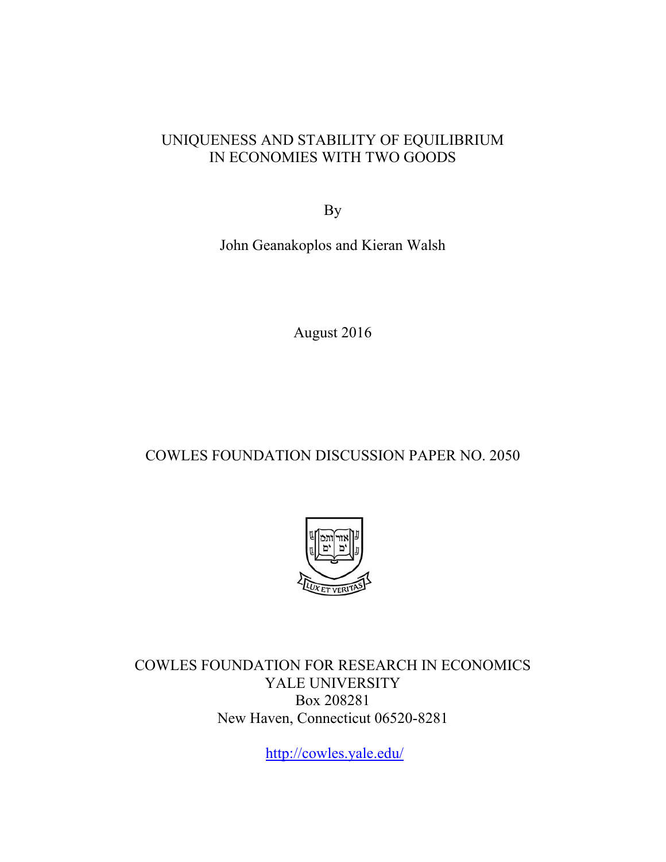## UNIQUENESS AND STABILITY OF EQUILIBRIUM IN ECONOMIES WITH TWO GOODS

By

John Geanakoplos and Kieran Walsh

August 2016

# COWLES FOUNDATION DISCUSSION PAPER NO. 2050



COWLES FOUNDATION FOR RESEARCH IN ECONOMICS YALE UNIVERSITY Box 208281 New Haven, Connecticut 06520-8281

http://cowles.yale.edu/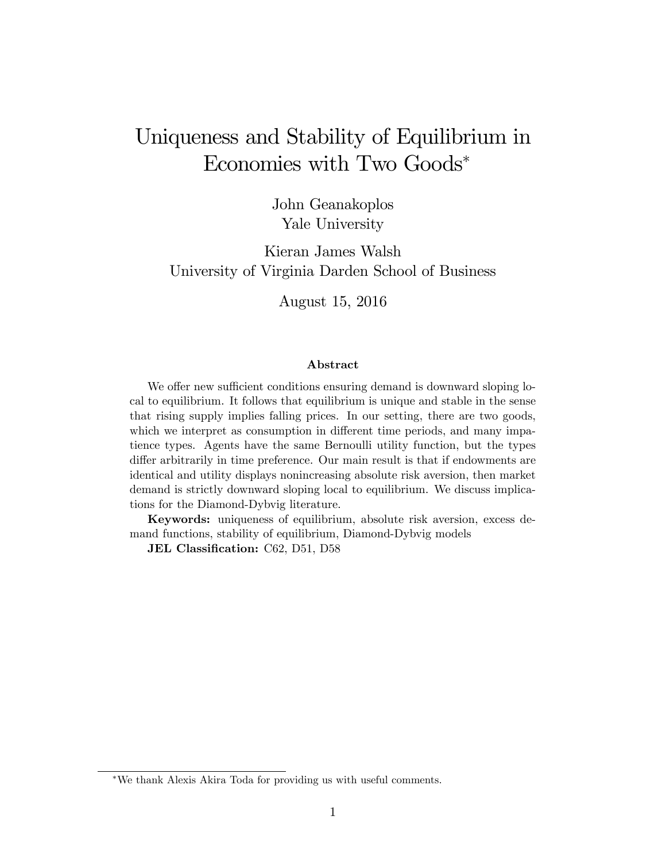# Uniqueness and Stability of Equilibrium in Economies with Two Goods

John Geanakoplos Yale University

Kieran James Walsh University of Virginia Darden School of Business

August 15, 2016

## Abstract

We offer new sufficient conditions ensuring demand is downward sloping local to equilibrium. It follows that equilibrium is unique and stable in the sense that rising supply implies falling prices. In our setting, there are two goods, which we interpret as consumption in different time periods, and many impatience types. Agents have the same Bernoulli utility function, but the types differ arbitrarily in time preference. Our main result is that if endowments are identical and utility displays nonincreasing absolute risk aversion, then market demand is strictly downward sloping local to equilibrium. We discuss implications for the Diamond-Dybvig literature.

Keywords: uniqueness of equilibrium, absolute risk aversion, excess demand functions, stability of equilibrium, Diamond-Dybvig models

JEL Classification: C62, D51, D58

We thank Alexis Akira Toda for providing us with useful comments.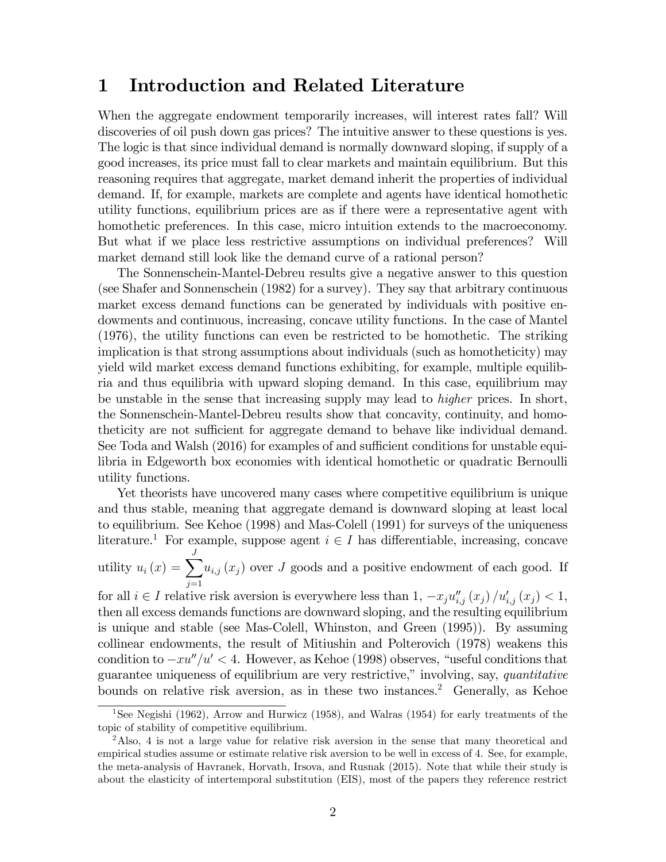## 1 Introduction and Related Literature

When the aggregate endowment temporarily increases, will interest rates fall? Will discoveries of oil push down gas prices? The intuitive answer to these questions is yes. The logic is that since individual demand is normally downward sloping, if supply of a good increases, its price must fall to clear markets and maintain equilibrium. But this reasoning requires that aggregate, market demand inherit the properties of individual demand. If, for example, markets are complete and agents have identical homothetic utility functions, equilibrium prices are as if there were a representative agent with homothetic preferences. In this case, micro intuition extends to the macroeconomy. But what if we place less restrictive assumptions on individual preferences? Will market demand still look like the demand curve of a rational person?

The Sonnenschein-Mantel-Debreu results give a negative answer to this question (see Shafer and Sonnenschein (1982) for a survey). They say that arbitrary continuous market excess demand functions can be generated by individuals with positive endowments and continuous, increasing, concave utility functions. In the case of Mantel (1976), the utility functions can even be restricted to be homothetic. The striking implication is that strong assumptions about individuals (such as homotheticity) may yield wild market excess demand functions exhibiting, for example, multiple equilibria and thus equilibria with upward sloping demand. In this case, equilibrium may be unstable in the sense that increasing supply may lead to higher prices. In short, the Sonnenschein-Mantel-Debreu results show that concavity, continuity, and homotheticity are not sufficient for aggregate demand to behave like individual demand. See Toda and Walsh (2016) for examples of and sufficient conditions for unstable equilibria in Edgeworth box economies with identical homothetic or quadratic Bernoulli utility functions.

Yet theorists have uncovered many cases where competitive equilibrium is unique and thus stable, meaning that aggregate demand is downward sloping at least local to equilibrium. See Kehoe (1998) and Mas-Colell (1991) for surveys of the uniqueness literature.<sup>1</sup> For example, suppose agent  $i \in I$  has differentiable, increasing, concave utility  $u_i(x) = \sum_{i=1}^{J}$  $j=1$  $u_{i,j}(x_j)$  over J goods and a positive endowment of each good. If for all  $i \in I$  relative risk aversion is everywhere less than  $1, -x_ju''_{i,j}(x_j) / u'_{i,j}(x_j) < 1$ ,

then all excess demands functions are downward sloping, and the resulting equilibrium is unique and stable (see Mas-Colell, Whinston, and Green (1995)). By assuming collinear endowments, the result of Mitiushin and Polterovich (1978) weakens this condition to  $-xu''/u' < 4$ . However, as Kehoe (1998) observes, "useful conditions that guarantee uniqueness of equilibrium are very restrictive," involving, say, quantitative bounds on relative risk aversion, as in these two instances.<sup>2</sup> Generally, as Kehoe

<sup>&</sup>lt;sup>1</sup>See Negishi (1962), Arrow and Hurwicz (1958), and Walras (1954) for early treatments of the topic of stability of competitive equilibrium.

<sup>&</sup>lt;sup>2</sup>Also, 4 is not a large value for relative risk aversion in the sense that many theoretical and empirical studies assume or estimate relative risk aversion to be well in excess of 4. See, for example, the meta-analysis of Havranek, Horvath, Irsova, and Rusnak (2015). Note that while their study is about the elasticity of intertemporal substitution (EIS), most of the papers they reference restrict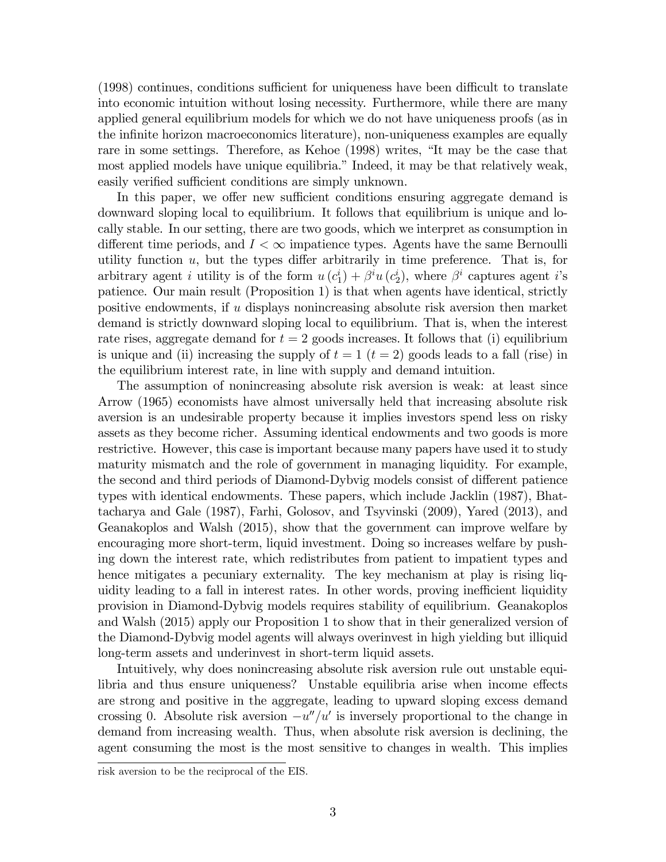$(1998)$  continues, conditions sufficient for uniqueness have been difficult to translate into economic intuition without losing necessity. Furthermore, while there are many applied general equilibrium models for which we do not have uniqueness proofs (as in the infinite horizon macroeconomics literature), non-uniqueness examples are equally rare in some settings. Therefore, as Kehoe (1998) writes, "It may be the case that most applied models have unique equilibria." Indeed, it may be that relatively weak, easily verified sufficient conditions are simply unknown.

In this paper, we offer new sufficient conditions ensuring aggregate demand is downward sloping local to equilibrium. It follows that equilibrium is unique and locally stable. In our setting, there are two goods, which we interpret as consumption in different time periods, and  $I < \infty$  impatience types. Agents have the same Bernoulli utility function  $u$ , but the types differ arbitrarily in time preference. That is, for arbitrary agent *i* utility is of the form  $u(c_1^i) + \beta^i u(c_2^i)$ , where  $\beta^i$  captures agent *i*'s patience. Our main result (Proposition 1) is that when agents have identical, strictly positive endowments, if  $u$  displays nonincreasing absolute risk aversion then market demand is strictly downward sloping local to equilibrium. That is, when the interest rate rises, aggregate demand for  $t = 2$  goods increases. It follows that (i) equilibrium is unique and (ii) increasing the supply of  $t = 1$   $(t = 2)$  goods leads to a fall (rise) in the equilibrium interest rate, in line with supply and demand intuition.

The assumption of nonincreasing absolute risk aversion is weak: at least since Arrow (1965) economists have almost universally held that increasing absolute risk aversion is an undesirable property because it implies investors spend less on risky assets as they become richer. Assuming identical endowments and two goods is more restrictive. However, this case is important because many papers have used it to study maturity mismatch and the role of government in managing liquidity. For example, the second and third periods of Diamond-Dybvig models consist of different patience types with identical endowments. These papers, which include Jacklin (1987), Bhattacharya and Gale (1987), Farhi, Golosov, and Tsyvinski (2009), Yared (2013), and Geanakoplos and Walsh (2015), show that the government can improve welfare by encouraging more short-term, liquid investment. Doing so increases welfare by pushing down the interest rate, which redistributes from patient to impatient types and hence mitigates a pecuniary externality. The key mechanism at play is rising liquidity leading to a fall in interest rates. In other words, proving inefficient liquidity provision in Diamond-Dybvig models requires stability of equilibrium. Geanakoplos and Walsh (2015) apply our Proposition 1 to show that in their generalized version of the Diamond-Dybvig model agents will always overinvest in high yielding but illiquid long-term assets and underinvest in short-term liquid assets.

Intuitively, why does nonincreasing absolute risk aversion rule out unstable equilibria and thus ensure uniqueness? Unstable equilibria arise when income effects are strong and positive in the aggregate, leading to upward sloping excess demand crossing 0. Absolute risk aversion  $-u''/u'$  is inversely proportional to the change in demand from increasing wealth. Thus, when absolute risk aversion is declining, the agent consuming the most is the most sensitive to changes in wealth. This implies

risk aversion to be the reciprocal of the EIS.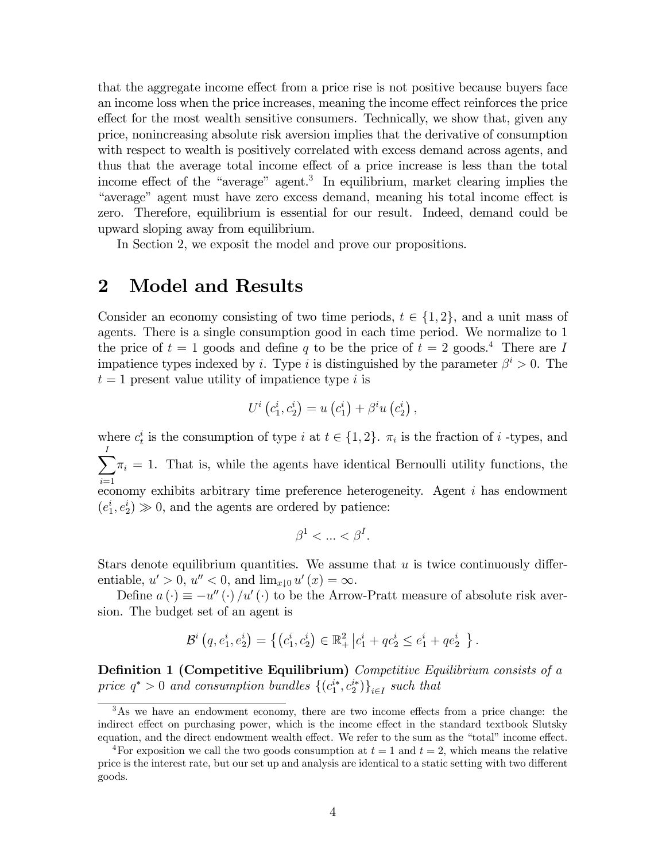that the aggregate income effect from a price rise is not positive because buyers face an income loss when the price increases, meaning the income effect reinforces the price effect for the most wealth sensitive consumers. Technically, we show that, given any price, nonincreasing absolute risk aversion implies that the derivative of consumption with respect to wealth is positively correlated with excess demand across agents, and thus that the average total income effect of a price increase is less than the total income effect of the "average" agent.<sup>3</sup> In equilibrium, market clearing implies the "average" agent must have zero excess demand, meaning his total income effect is zero. Therefore, equilibrium is essential for our result. Indeed, demand could be upward sloping away from equilibrium.

In Section 2, we exposit the model and prove our propositions.

### **Model and Results**  $\bf{2}$

Consider an economy consisting of two time periods,  $t \in \{1, 2\}$ , and a unit mass of agents. There is a single consumption good in each time period. We normalize to 1 the price of  $t = 1$  goods and define q to be the price of  $t = 2$  goods.<sup>4</sup> There are I impatience types indexed by *i*. Type *i* is distinguished by the parameter  $\beta^i > 0$ . The  $t = 1$  present value utility of impatience type i is

$$
U^{i}\left(c_{1}^{i}, c_{2}^{i}\right) = u\left(c_{1}^{i}\right) + \beta^{i} u\left(c_{2}^{i}\right),
$$

where  $c_t^i$  is the consumption of type i at  $t \in \{1,2\}$ .  $\pi_i$  is the fraction of i-types, and  $\sum \pi_i = 1$ . That is, while the agents have identical Bernoulli utility functions, the economy exhibits arbitrary time preference heterogeneity. Agent  $i$  has endowment  $(e_1^i, e_2^i) \gg 0$ , and the agents are ordered by patience:

$$
\beta^1 < \ldots < \beta^I.
$$

Stars denote equilibrium quantities. We assume that  $u$  is twice continuously differentiable,  $u' > 0$ ,  $u'' < 0$ , and  $\lim_{x \downarrow 0} u'(x) = \infty$ .

Define  $a(\cdot) \equiv -u''(\cdot)/u'(\cdot)$  to be the Arrow-Pratt measure of absolute risk aversion. The budget set of an agent is

$$
\mathcal{B}^i\left(q, e_1^i, e_2^i\right) = \left\{ \left(c_1^i, c_2^i\right) \in \mathbb{R}_+^2 \left| c_1^i + q c_2^i \le e_1^i + q e_2^i \right| \right\}.
$$

**Definition 1 (Competitive Equilibrium)** Competitive Equilibrium consists of  $a$ price  $q^* > 0$  and consumption bundles  $\{(c_1^{i*}, c_2^{i*})\}_{i \in I}$  such that

 $3\text{As}$  we have an endowment economy, there are two income effects from a price change: the indirect effect on purchasing power, which is the income effect in the standard textbook Slutsky equation, and the direct endowment wealth effect. We refer to the sum as the "total" income effect.

<sup>&</sup>lt;sup>4</sup>For exposition we call the two goods consumption at  $t = 1$  and  $t = 2$ , which means the relative price is the interest rate, but our set up and analysis are identical to a static setting with two different goods.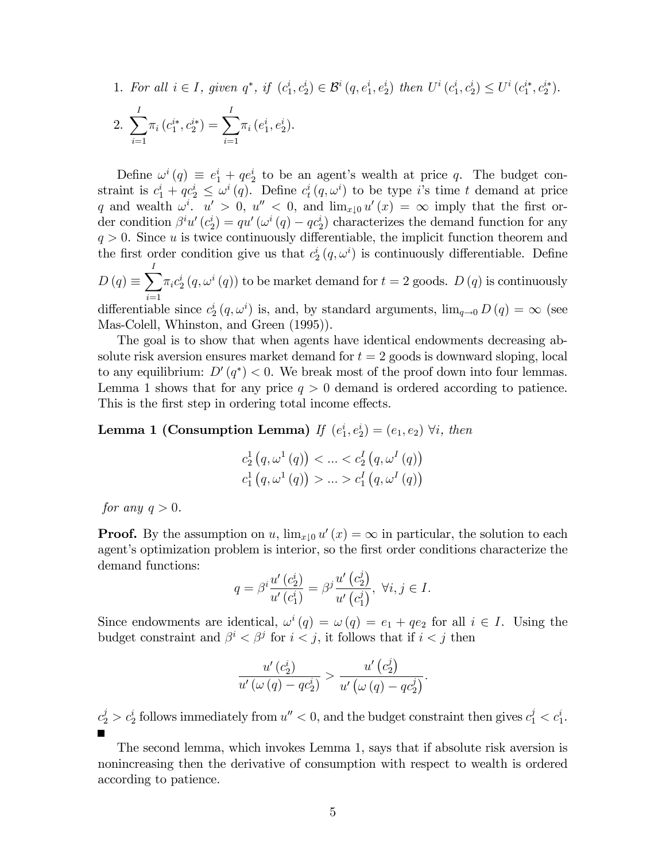1. For all  $i \in I$ , given  $q^*$ , if  $(c_1^i, c_2^i) \in \mathcal{B}^i(q, e_1^i, e_2^i)$  then  $U^i(c_1^i, c_2^i) \leq U^i(c_1^{i*}, c_2^{i*}).$ 

2. 
$$
\sum_{i=1}^{I} \pi_i (c_1^{i*}, c_2^{i*}) = \sum_{i=1}^{I} \pi_i (e_1^{i}, e_2^{i}).
$$

Define  $\omega^i(q) \equiv e_1^i + q e_2^i$  to be an agent's wealth at price q. The budget constraint is  $c_1^i + qc_2^i \leq \omega^i(q)$ . Define  $c_t^i(q, \omega^i)$  to be type i's time t demand at price q and wealth  $\omega^i$ .  $u' > 0$ ,  $u'' < 0$ , and  $\lim_{x \downarrow 0} u'(x) = \infty$  imply that the first order condition  $\beta^i u'(c_2^i) = q u'(u^i(q) - q c_2^i)$  characterizes the demand function for any  $q > 0$ . Since u is twice continuously differentiable, the implicit function theorem and the first order condition give us that  $c_2^i(q,\omega^i)$  is continuously differentiable. Define  $D(q) \equiv \sum_i \pi_i c_2^i (q, \omega^i (q))$  to be market demand for  $t = 2$  goods.  $D(q)$  is continuously differentiable since  $c_2^i(q,\omega^i)$  is, and, by standard arguments,  $\lim_{q\to 0} D(q) = \infty$  (see Mas-Colell, Whinston, and Green (1995)).

The goal is to show that when agents have identical endowments decreasing absolute risk aversion ensures market demand for  $t = 2$  goods is downward sloping, local to any equilibrium:  $D'(q^*) < 0$ . We break most of the proof down into four lemmas. Lemma 1 shows that for any price  $q > 0$  demand is ordered according to patience. This is the first step in ordering total income effects.

**Lemma 1 (Consumption Lemma)** If  $(e_1^i, e_2^i) = (e_1, e_2)$   $\forall i$ , then

$$
c_2^1(q, \omega^1(q)) < ... < c_2^I(q, \omega^I(q))
$$
  
 $c_1^1(q, \omega^1(q)) > ... > c_1^I(q, \omega^I(q))$ 

for any  $q > 0$ .

**Proof.** By the assumption on u,  $\lim_{x\downarrow 0} u'(x) = \infty$  in particular, the solution to each agent's optimization problem is interior, so the first order conditions characterize the demand functions:

$$
q = \beta^i \frac{u'(c_2^i)}{u'(c_1^i)} = \beta^j \frac{u'(c_2^j)}{u'(c_1^j)}, \ \forall i, j \in I.
$$

Since endowments are identical,  $\omega^{i}(q) = \omega(q) = e_1 + qe_2$  for all  $i \in I$ . Using the budget constraint and  $\beta^i < \beta^j$  for  $i < j$ , it follows that if  $i < j$  then

$$
\frac{u'\left(c_2^i\right)}{u'\left(\omega\left(q\right)-qc_2^i\right)} > \frac{u'\left(c_2^j\right)}{u'\left(\omega\left(q\right)-qc_2^j\right)}
$$

 $c_2^j > c_2^i$  follows immediately from  $u'' < 0$ , and the budget constraint then gives  $c_1^j < c_1^i$ .

The second lemma, which invokes Lemma 1, says that if absolute risk aversion is nonincreasing then the derivative of consumption with respect to wealth is ordered according to patience.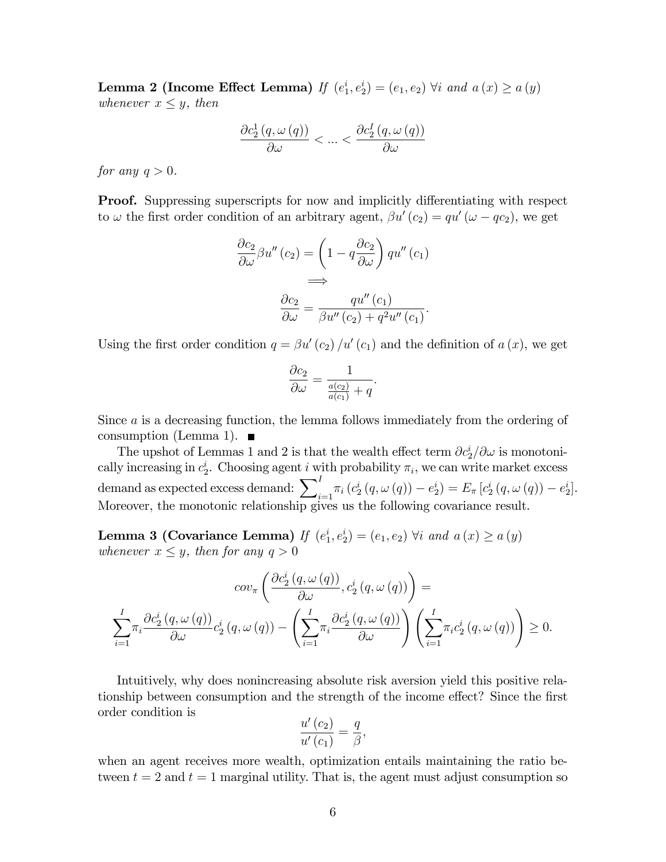**Lemma 2 (Income Effect Lemma)** If  $(e_1^i, e_2^i) = (e_1, e_2)$   $\forall i$  and  $a(x) \ge a(y)$ whenever  $x \leq y$ , then

$$
\frac{\partial c_2^1(q, \omega(q))}{\partial \omega} < \dots < \frac{\partial c_2^I(q, \omega(q))}{\partial \omega}
$$

for any  $q > 0$ .

**Proof.** Suppressing superscripts for now and implicitly differentiating with respect to  $\omega$  the first order condition of an arbitrary agent,  $\beta u'(c_2) = qu'(\omega - qc_2)$ , we get

$$
\frac{\partial c_2}{\partial \omega} \beta u''(c_2) = \left(1 - q \frac{\partial c_2}{\partial \omega}\right) qu''(c_1)
$$

$$
\implies
$$

$$
\frac{\partial c_2}{\partial \omega} = \frac{qu''(c_1)}{\beta u''(c_2) + q^2 u''(c_1)}.
$$

Using the first order condition  $q = \beta u'(c_2)/u'(c_1)$  and the definition of  $a(x)$ , we get

$$
\frac{\partial c_2}{\partial \omega} = \frac{1}{\frac{a(c_2)}{a(c_1)} + q}.
$$

Since a is a decreasing function, the lemma follows immediately from the ordering of consumption (Lemma 1).  $\blacksquare$ 

The upshot of Lemmas 1 and 2 is that the wealth effect term  $\partial c_2^i/\partial \omega$  is monotonically increasing in  $c_2^i$ . Choosing agent i with probability  $\pi_i$ , we can write market excess demand as expected excess demand:  $\sum_{i=1}^{I} \pi_i (c_2^i (q, \omega(q)) - e_2^i) = E_{\pi} [c_2^i (q, \omega(q)) - e_2^i].$ Moreover, the monotonic relationship gives us the following covariance result.

Lemma 3 (Covariance Lemma) If  $(e_1^i, e_2^i) = (e_1, e_2)$   $\forall i$  and  $a(x) \ge a(y)$ whenever  $x \leq y$ , then for any  $q > 0$ 

$$
cov_{\pi}\left(\frac{\partial c_{2}^{i}\left(q,\omega\left(q\right)\right)}{\partial\omega},c_{2}^{i}\left(q,\omega\left(q\right)\right)\right)=
$$

$$
\sum_{i=1}^{I}\pi_{i}\frac{\partial c_{2}^{i}\left(q,\omega\left(q\right)\right)}{\partial\omega}c_{2}^{i}\left(q,\omega\left(q\right)\right)-\left(\sum_{i=1}^{I}\pi_{i}\frac{\partial c_{2}^{i}\left(q,\omega\left(q\right)\right)}{\partial\omega}\right)\left(\sum_{i=1}^{I}\pi_{i}c_{2}^{i}\left(q,\omega\left(q\right)\right)\right)\geq 0.
$$

Intuitively, why does nonincreasing absolute risk aversion yield this positive relationship between consumption and the strength of the income effect? Since the first order condition is

$$
\frac{u'(c_2)}{u'(c_1)} = \frac{q}{\beta},
$$

when an agent receives more wealth, optimization entails maintaining the ratio between  $t = 2$  and  $t = 1$  marginal utility. That is, the agent must adjust consumption so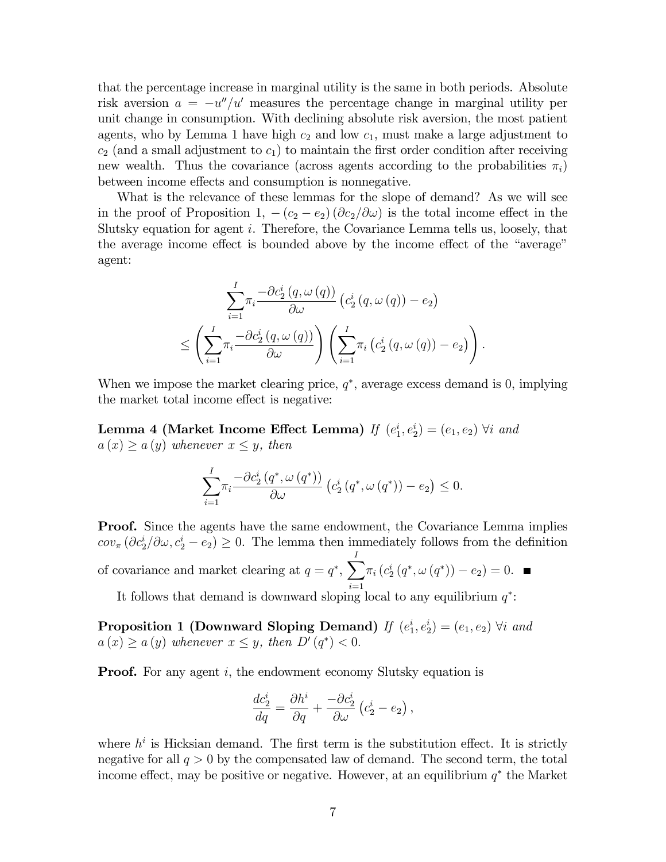that the percentage increase in marginal utility is the same in both periods. Absolute risk aversion  $a = -u''/u'$  measures the percentage change in marginal utility per unit change in consumption. With declining absolute risk aversion, the most patient agents, who by Lemma 1 have high  $c_2$  and low  $c_1$ , must make a large adjustment to  $c_2$  (and a small adjustment to  $c_1$ ) to maintain the first order condition after receiving new wealth. Thus the covariance (across agents according to the probabilities  $\pi_i$ ) between income effects and consumption is nonnegative.

What is the relevance of these lemmas for the slope of demand? As we will see in the proof of Proposition 1,  $-(c_2 - e_2)(\partial c_2/\partial \omega)$  is the total income effect in the Slutsky equation for agent i. Therefore, the Covariance Lemma tells us, loosely, that the average income effect is bounded above by the income effect of the "average" agent:

$$
\sum_{i=1}^{I} \pi_i \frac{-\partial c_2^i(q, \omega(q))}{\partial \omega} \left( c_2^i(q, \omega(q)) - e_2 \right)
$$
  

$$
\leq \left( \sum_{i=1}^{I} \pi_i \frac{-\partial c_2^i(q, \omega(q))}{\partial \omega} \right) \left( \sum_{i=1}^{I} \pi_i \left( c_2^i(q, \omega(q)) - e_2 \right) \right).
$$

When we impose the market clearing price,  $q^*$ , average excess demand is 0, implying the market total income effect is negative:

Lemma 4 (Market Income Effect Lemma) If  $(e_1^i, e_2^i) = (e_1, e_2)$   $\forall i$  and  $a(x) \ge a(y)$  whenever  $x \le y$ , then

$$
\sum_{i=1}^{I} \pi_i \frac{-\partial c_2^i (q^*, \omega(q^*))}{\partial \omega} \left( c_2^i (q^*, \omega(q^*)) - e_2 \right) \leq 0.
$$

**Proof.** Since the agents have the same endowment, the Covariance Lemma implies  $cov_{\pi}(\partial c_2^i/\partial \omega, c_2^i - e_2) \geq 0$ . The lemma then immediately follows from the definition of covariance and market clearing at  $q = q^*$ ,  $\sum_{n=1}^{N}$  $i=1$  $\pi_i (c_2^i (q^*, \omega (q^*)) - e_2) = 0.$ 

It follows that demand is downward sloping local to any equilibrium  $q^*$ :

**Proposition 1 (Downward Sloping Demand)** If  $(e_1^i, e_2^i) = (e_1, e_2)$   $\forall i$  and  $a(x) \ge a(y)$  whenever  $x \le y$ , then  $D'(q^*) < 0$ .

**Proof.** For any agent i, the endowment economy Slutsky equation is

$$
\frac{dc_2^i}{dq} = \frac{\partial h^i}{\partial q} + \frac{-\partial c_2^i}{\partial \omega} (c_2^i - e_2) ,
$$

where  $h^i$  is Hicksian demand. The first term is the substitution effect. It is strictly negative for all  $q > 0$  by the compensated law of demand. The second term, the total income effect, may be positive or negative. However, at an equilibrium  $q^*$  the Market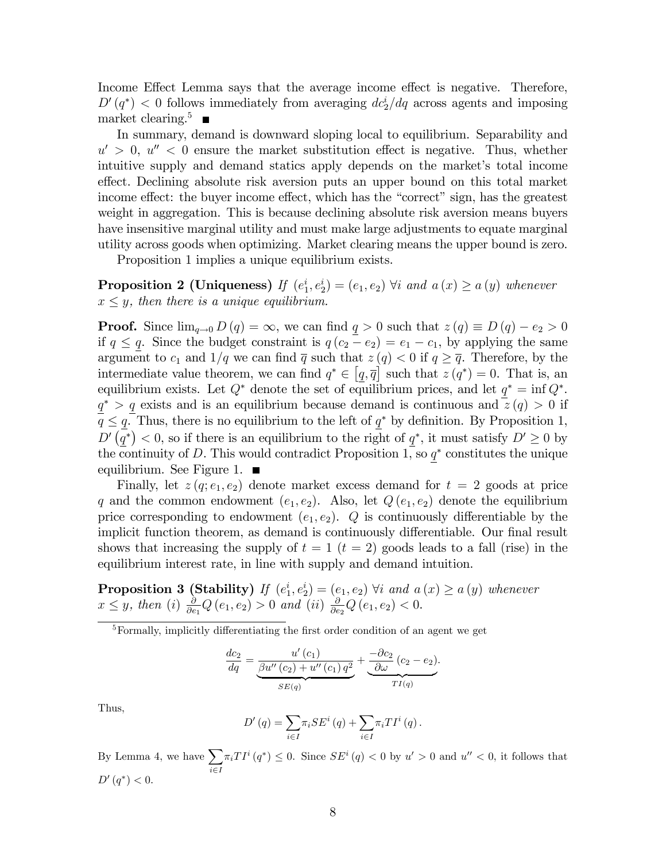Income Effect Lemma says that the average income effect is negative. Therefore,  $D'(q^*)$  < 0 follows immediately from averaging  $dc_2^i/dq$  across agents and imposing market clearing.<sup>5</sup>

In summary, demand is downward sloping local to equilibrium. Separability and  $u' > 0$ ,  $u'' < 0$  ensure the market substitution effect is negative. Thus, whether intuitive supply and demand statics apply depends on the market's total income effect. Declining absolute risk aversion puts an upper bound on this total market income effect: the buyer income effect, which has the "correct" sign, has the greatest weight in aggregation. This is because declining absolute risk aversion means buyers have insensitive marginal utility and must make large adjustments to equate marginal utility across goods when optimizing. Market clearing means the upper bound is zero.

Proposition 1 implies a unique equilibrium exists.

**Proposition 2 (Uniqueness)** If  $(e_1^i, e_2^i) = (e_1, e_2)$   $\forall i$  and  $a(x) \ge a(y)$  whenever  $x \leq y$ , then there is a unique equilibrium.

**Proof.** Since  $\lim_{q\to 0} D(q) = \infty$ , we can find  $q > 0$  such that  $z(q) \equiv D(q) - e_2 > 0$ if  $q \leq q$ . Since the budget constraint is  $q(c_2 - e_2) = e_1 - c_1$ , by applying the same argument to  $c_1$  and  $1/q$  we can find  $\overline{q}$  such that  $z (q) < 0$  if  $q \geq \overline{q}$ . Therefore, by the intermediate value theorem, we can find  $q^* \in [q, \overline{q}]$  such that  $z(q^*) = 0$ . That is, an equilibrium exists. Let  $Q^*$  denote the set of equilibrium prices, and let  $q^* = \inf Q^*$ .  $q^*$  > q exists and is an equilibrium because demand is continuous and  $z(q) > 0$  if  $q \leq \underline{q}$ . Thus, there is no equilibrium to the left of  $\underline{q}^*$  by definition. By Proposition 1,  $D\prime(\overline{q^*})$  < 0, so if there is an equilibrium to the right of  $q^*$ , it must satisfy  $D' \geq 0$  by the continuity of D. This would contradict Proposition 1, so  $q^*$  constitutes the unique equilibrium. See Figure 1.  $\blacksquare$ 

Finally, let  $z(q; e_1, e_2)$  denote market excess demand for  $t = 2$  goods at price q and the common endowment  $(e_1, e_2)$ . Also, let  $Q(e_1, e_2)$  denote the equilibrium price corresponding to endowment  $(e_1, e_2)$ . Q is continuously differentiable by the implicit function theorem, as demand is continuously differentiable. Our final result shows that increasing the supply of  $t = 1$   $(t = 2)$  goods leads to a fall (rise) in the equilibrium interest rate, in line with supply and demand intuition.

**Proposition 3 (Stability)** If  $(e_1^i, e_2^i) = (e_1, e_2)$   $\forall i$  and  $a(x) \ge a(y)$  whenever  $x \leq y$ , then (i)  $\frac{\partial}{\partial e}$  $\frac{\partial}{\partial e_1} Q(e_1, e_2) > 0$  and (ii)  $\frac{\partial}{\partial e_1}$  $\frac{\partial}{\partial e_2} Q(e_1, e_2) < 0.$ 

 $5$ Formally, implicitly differentiating the first order condition of an agent we get

$$
\frac{dc_2}{dq} = \underbrace{\frac{u'(c_1)}{\beta u''(c_2) + u''(c_1) q^2}}_{SE(q)} + \underbrace{\frac{-\partial c_2}{\partial \omega}(c_2 - e_2)}_{TI(q)}.
$$

Thus,

$$
D'(q) = \sum_{i \in I} \pi_i SE^i(q) + \sum_{i \in I} \pi_i TI^i(q).
$$

By Lemma 4, we have  $\sum$  $i \in I$  $\pi_i TI^i(q^*) \leq 0$ . Since  $SE^i(q) < 0$  by  $u' > 0$  and  $u'' < 0$ , it follows that  $D'(q^*) < 0.$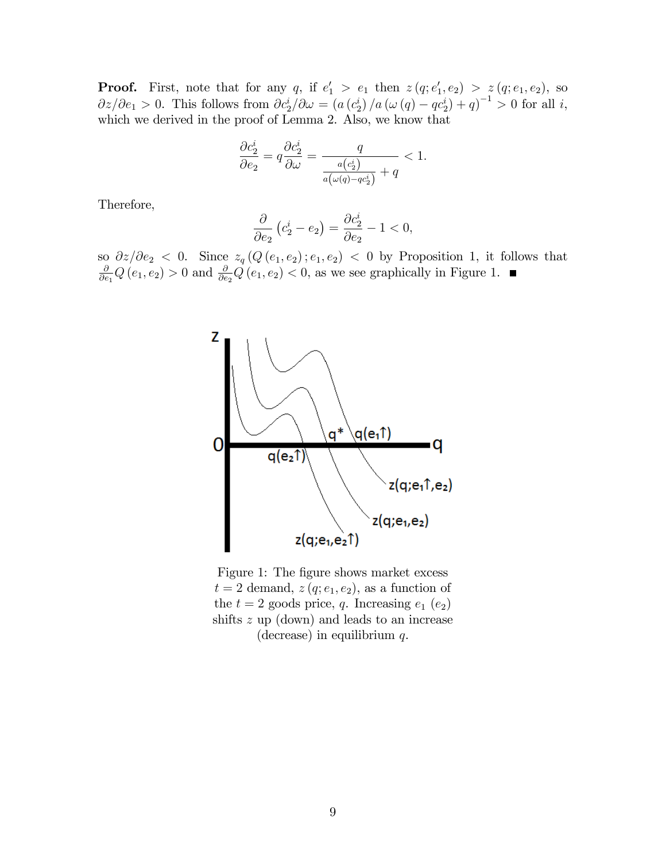**Proof.** First, note that for any q, if  $e'_1 > e_1$  then  $z(q; e'_1, e_2) > z(q; e_1, e_2)$ , so  $\partial z/\partial e_1 > 0$ . This follows from  $\partial c_2^i/\partial \omega = (a(c_2^i)/a(\omega(q) - qc_2^i) + q)^{-1} > 0$  for all i, which we derived in the proof of Lemma 2. Also, we know that

$$
\frac{\partial c_2^i}{\partial e_2} = q \frac{\partial c_2^i}{\partial \omega} = \frac{q}{\frac{a(c_2^i)}{a(\omega(q) - qc_2^i)} + q} < 1.
$$

Therefore,

$$
\frac{\partial}{\partial e_2} \left( c_2^i - e_2 \right) = \frac{\partial c_2^i}{\partial e_2} - 1 < 0,
$$

so  $\partial z/\partial e_2 < 0$ . Since  $z_q(Q(e_1, e_2); e_1, e_2) < 0$  by Proposition 1, it follows that  $\frac{\partial}{\partial e_1}Q(e_1, e_2) > 0$  and  $\frac{\partial}{\partial e_2}Q(e_1, e_2) < 0$ , as we see graphically in Figure 1.



Figure 1: The figure shows market excess  $t = 2$  demand,  $z(q; e_1, e_2)$ , as a function of the  $t = 2$  goods price, q. Increasing  $e_1$   $(e_2)$ shifts z up (down) and leads to an increase (decrease) in equilibrium  $q$ .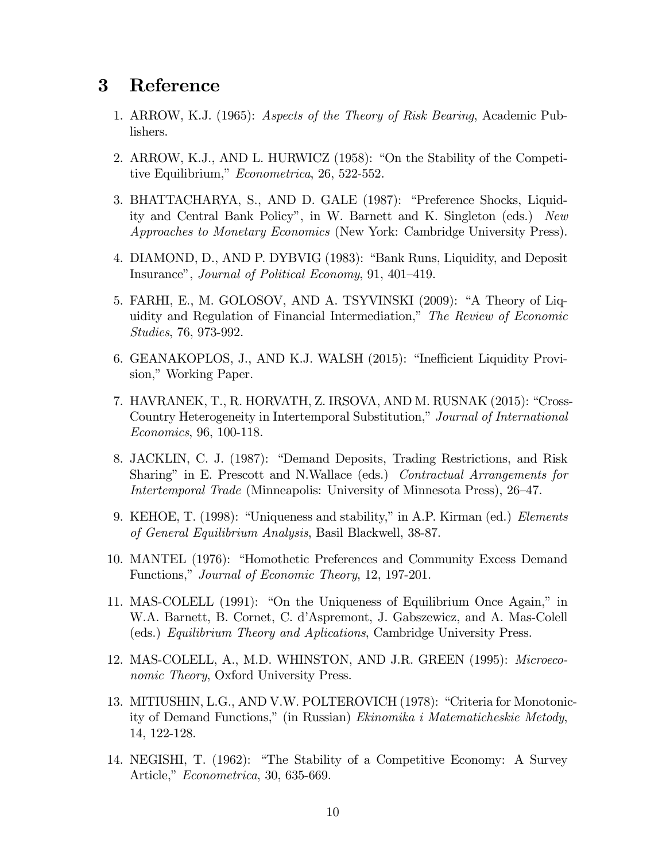### $\bf{3}$ Reference

- 1. ARROW, K.J. (1965): Aspects of the Theory of Risk Bearing, Academic Publishers.
- 2. ARROW, K.J., AND L. HURWICZ (1958): "On the Stability of the Competitive Equilibrium," Econometrica, 26, 522-552.
- 3. BHATTACHARYA, S., AND D. GALE (1987): "Preference Shocks, Liquidity and Central Bank Policy", in W. Barnett and K. Singleton (eds.) New *Approaches to Monetary Economics* (New York: Cambridge University Press).
- 4. DIAMOND, D., AND P. DYBVIG (1983): "Bank Runs, Liquidity, and Deposit Insurance", Journal of Political Economy, 91, 401–419.
- 5. FARHI, E., M. GOLOSOV, AND A. TSYVINSKI (2009): "A Theory of Liquidity and Regulation of Financial Intermediation," The Review of Economic *Studies*, 76, 973-992.
- 6. GEANAKOPLOS, J., AND K.J. WALSH (2015): "Inefficient Liquidity Provision," Working Paper.
- 7. HAVRANEK, T., R. HORVATH, Z. IRSOVA, AND M. RUSNAK (2015): "Cross-Country Heterogeneity in Intertemporal Substitution," Journal of International *Economics*, 96, 100-118.
- 8. JACKLIN, C. J. (1987): "Demand Deposits, Trading Restrictions, and Risk Sharing" in E. Prescott and N.Wallace (eds.) Contractual Arrangements for *Intertemporal Trade* (Minneapolis: University of Minnesota Press), 26–47.
- 9. KEHOE, T. (1998): "Uniqueness and stability," in A.P. Kirman (ed.) *Elements* of General Equilibrium Analysis, Basil Blackwell, 38-87.
- 10. MANTEL (1976): "Homothetic Preferences and Community Excess Demand Functions," Journal of Economic Theory, 12, 197-201.
- 11. MAS-COLELL (1991): "On the Uniqueness of Equilibrium Once Again," in W.A. Barnett, B. Cornet, C. d'Aspremont, J. Gabszewicz, and A. Mas-Colell (eds.) Equilibrium Theory and Aplications, Cambridge University Press.
- 12. MAS-COLELL, A., M.D. WHINSTON, AND J.R. GREEN (1995): Microeco*nomic Theory*, Oxford University Press.
- 13. MITIUSHIN, L.G., AND V.W. POLTEROVICH (1978): "Criteria for Monotonicity of Demand Functions," (in Russian) Ekinomika i Matematicheskie Metody, 14, 122-128.
- 14. NEGISHI, T. (1962): "The Stability of a Competitive Economy: A Survey Article," Econometrica, 30, 635-669.